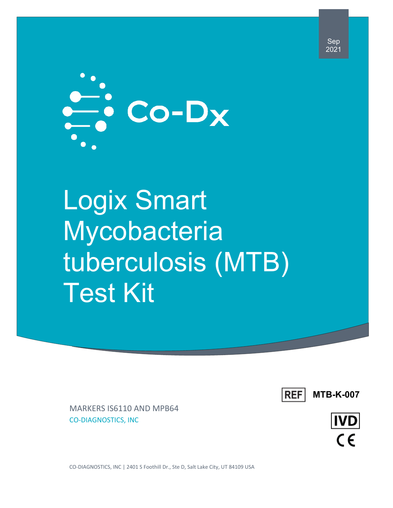

# Logix Smart **Mycobacteria** tuberculosis (MTB) Test Kit



MARKERS IS6110 AND MPB64 CO-DIAGNOSTICS, INC

**IVD**  $\epsilon$ 

CO-DIAGNOSTICS, INC | 2401 S Foothill Dr., Ste D, Salt Lake City, UT 84109 USA

Sep 2021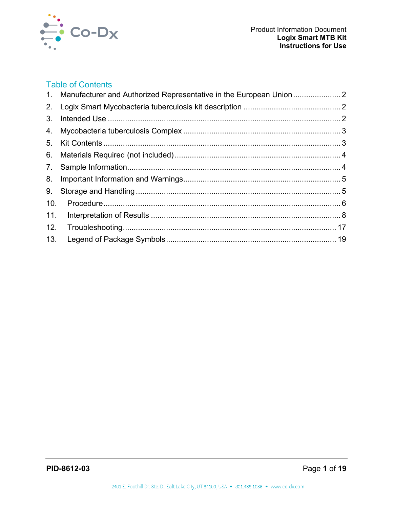

# **Table of Contents**

|                | 1. Manufacturer and Authorized Representative in the European Union |  |
|----------------|---------------------------------------------------------------------|--|
| 2.             |                                                                     |  |
| 3.             |                                                                     |  |
| 4.             |                                                                     |  |
| 5 <sub>1</sub> |                                                                     |  |
| 6.             |                                                                     |  |
|                |                                                                     |  |
| 8.             |                                                                     |  |
| 9.             |                                                                     |  |
| 10.            |                                                                     |  |
| 11.            |                                                                     |  |
| 12.            |                                                                     |  |
| 13.            |                                                                     |  |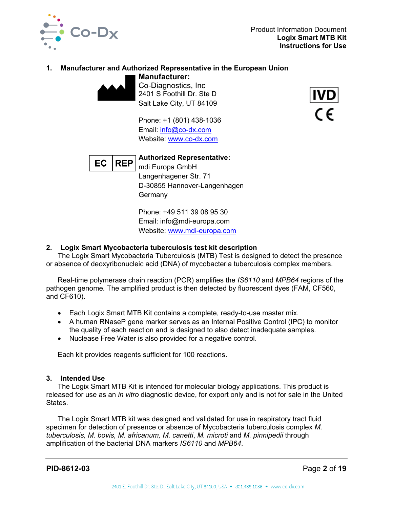

# **1. Manufacturer and Authorized Representative in the European Union**

**Manufacturer:** Co-Diagnostics, Inc 2401 S Foothill Dr. Ste D Salt Lake City, UT 84109

Phone: +1 (801) 438-1036 Email: [info@co-dx.com](mailto:info@co-dx.com) Website: [www.co-dx.com](http://www.co-dx.com/)





**Authorized Representative:** mdi Europa GmbH Langenhagener Str. 71 D-30855 Hannover-Langenhagen **Germany** 

Phone: +49 511 39 08 95 30 Email: info@mdi-europa.com Website: [www.mdi-europa.com](http://www.mdi-europa.com/)

## **2. Logix Smart Mycobacteria tuberculosis test kit description**

The Logix Smart Mycobacteria Tuberculosis (MTB) Test is designed to detect the presence or absence of deoxyribonucleic acid (DNA) of mycobacteria tuberculosis complex members.

Real-time polymerase chain reaction (PCR) amplifies the *IS6110* and *MPB64* regions of the pathogen genome*.* The amplified product is then detected by fluorescent dyes (FAM, CF560, and CF610).

- Each Logix Smart MTB Kit contains a complete, ready-to-use master mix.
- A human RNaseP gene marker serves as an Internal Positive Control (IPC) to monitor the quality of each reaction and is designed to also detect inadequate samples.
- Nuclease Free Water is also provided for a negative control.

Each kit provides reagents sufficient for 100 reactions.

## **3. Intended Use**

The Logix Smart MTB Kit is intended for molecular biology applications. This product is released for use as an *in vitro* diagnostic device, for export only and is not for sale in the United States.

The Logix Smart MTB kit was designed and validated for use in respiratory tract fluid specimen for detection of presence or absence of Mycobacteria tuberculosis complex *M. tuberculosis, M. bovis, M. africanum, M. canetti*, *M. microti* and *M. pinnipedii* through amplification of the bacterial DNA markers *IS6110* and *MPB64*.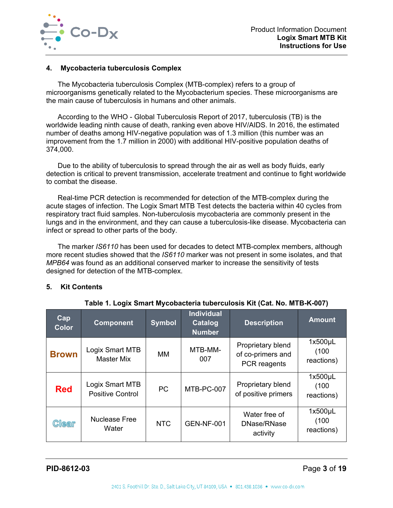

#### **4. Mycobacteria tuberculosis Complex**

The Mycobacteria tuberculosis Complex (MTB-complex) refers to a group of microorganisms genetically related to the Mycobacterium species. These microorganisms are the main cause of tuberculosis in humans and other animals.

According to the WHO - Global Tuberculosis Report of 2017, tuberculosis (TB) is the worldwide leading ninth cause of death, ranking even above HIV/AIDS. In 2016, the estimated number of deaths among HIV-negative population was of 1.3 million (this number was an improvement from the 1.7 million in 2000) with additional HIV-positive population deaths of 374,000.

Due to the ability of tuberculosis to spread through the air as well as body fluids, early detection is critical to prevent transmission, accelerate treatment and continue to fight worldwide to combat the disease.

Real-time PCR detection is recommended for detection of the MTB-complex during the acute stages of infection. The Logix Smart MTB Test detects the bacteria within 40 cycles from respiratory tract fluid samples. Non-tuberculosis mycobacteria are commonly present in the lungs and in the environment, and they can cause a tuberculosis-like disease. Mycobacteria can infect or spread to other parts of the body.

The marker *IS6110* has been used for decades to detect MTB-complex members, although more recent studies showed that the *IS6110* marker was not present in some isolates, and that *MPB64* was found as an additional conserved marker to increase the sensitivity of tests designed for detection of the MTB-complex.

#### **5. Kit Contents**

| Cap<br><b>Color</b> | <b>Component</b>                           | <b>Symbol</b> | <b>Individual</b><br><b>Catalog</b><br><b>Number</b> | <b>Description</b>                                     | <b>Amount</b>                       |
|---------------------|--------------------------------------------|---------------|------------------------------------------------------|--------------------------------------------------------|-------------------------------------|
| <b>Brown</b>        | Logix Smart MTB<br><b>Master Mix</b>       | MМ            | MTB-MM-<br>007                                       | Proprietary blend<br>of co-primers and<br>PCR reagents | $1x500\mu L$<br>(100)<br>reactions) |
| <b>Red</b>          | Logix Smart MTB<br><b>Positive Control</b> | <b>PC</b>     | MTB-PC-007                                           | Proprietary blend<br>of positive primers               | $1x500\mu L$<br>(100)<br>reactions) |
| <b>Clear</b>        | <b>Nuclease Free</b><br>Water              | <b>NTC</b>    | <b>GEN-NF-001</b>                                    | Water free of<br>DNase/RNase<br>activity               | $1x500\mu L$<br>(100)<br>reactions) |

#### **Table 1. Logix Smart Mycobacteria tuberculosis Kit (Cat. No. MTB-K-007)**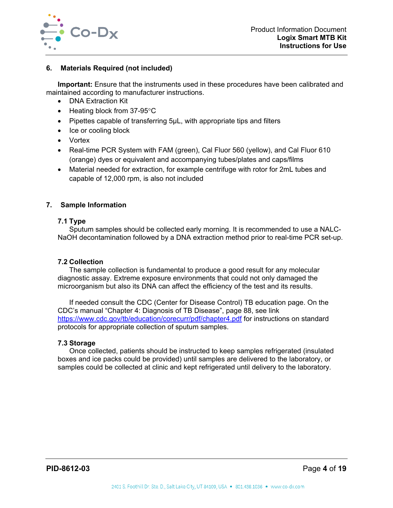

#### **6. Materials Required (not included)**

**Important:** Ensure that the instruments used in these procedures have been calibrated and maintained according to manufacturer instructions.

- DNA Extraction Kit
- Heating block from 37-95°C
- Pipettes capable of transferring 5µL, with appropriate tips and filters
- Ice or cooling block
- Vortex
- Real-time PCR System with FAM (green), Cal Fluor 560 (yellow), and Cal Fluor 610 (orange) dyes or equivalent and accompanying tubes/plates and caps/films
- Material needed for extraction, for example centrifuge with rotor for 2mL tubes and capable of 12,000 rpm, is also not included

#### **7. Sample Information**

#### **7.1 Type**

Sputum samples should be collected early morning. It is recommended to use a NALC-NaOH decontamination followed by a DNA extraction method prior to real-time PCR set-up.

#### **7.2 Collection**

The sample collection is fundamental to produce a good result for any molecular diagnostic assay. Extreme exposure environments that could not only damaged the microorganism but also its DNA can affect the efficiency of the test and its results.

If needed consult the CDC (Center for Disease Control) TB education page. On the CDC's manual "Chapter 4: Diagnosis of TB Disease", page 88, see link <https://www.cdc.gov/tb/education/corecurr/pdf/chapter4.pdf> for instructions on standard protocols for appropriate collection of sputum samples.

#### **7.3 Storage**

Once collected, patients should be instructed to keep samples refrigerated (insulated boxes and ice packs could be provided) until samples are delivered to the laboratory, or samples could be collected at clinic and kept refrigerated until delivery to the laboratory.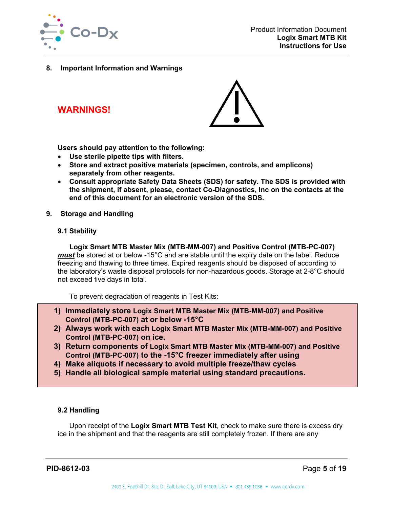

**8. Important Information and Warnings**

**WARNINGS!**



**Users should pay attention to the following:**

- **Use sterile pipette tips with filters.**
- **Store and extract positive materials (specimen, controls, and amplicons) separately from other reagents.**
- **Consult appropriate Safety Data Sheets (SDS) for safety. The SDS is provided with the shipment, if absent, please, contact Co-Diagnostics, Inc on the contacts at the end of this document for an electronic version of the SDS.**
- **9. Storage and Handling**
	- **9.1 Stability**

**Logix Smart MTB Master Mix (MTB-MM-007) and Positive Control (MTB-PC-007)**  *must* be stored at or below -15°C and are stable until the expiry date on the label. Reduce freezing and thawing to three times. Expired reagents should be disposed of according to the laboratory's waste disposal protocols for non-hazardous goods. Storage at 2-8°C should not exceed five days in total.

To prevent degradation of reagents in Test Kits:

- **1) Immediately store Logix Smart MTB Master Mix (MTB-MM-007) and Positive Control (MTB-PC-007) at or below -15°C**
- **2) Always work with each Logix Smart MTB Master Mix (MTB-MM-007) and Positive Control (MTB-PC-007) on ice.**
- **3) Return components of Logix Smart MTB Master Mix (MTB-MM-007) and Positive Control (MTB-PC-007) to the -15°C freezer immediately after using**
- **4) Make aliquots if necessary to avoid multiple freeze/thaw cycles**
- **5) Handle all biological sample material using standard precautions.**

## **9.2 Handling**

Upon receipt of the **Logix Smart MTB Test Kit**, check to make sure there is excess dry ice in the shipment and that the reagents are still completely frozen. If there are any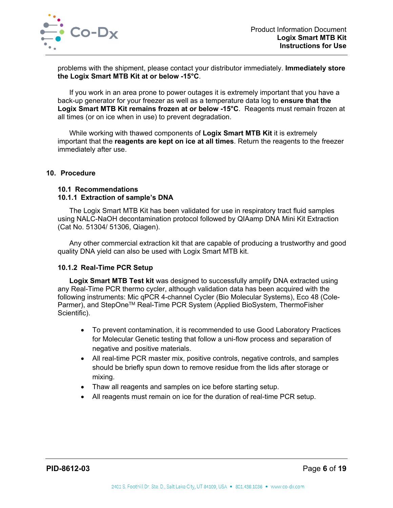

problems with the shipment, please contact your distributor immediately. **Immediately store the Logix Smart MTB Kit at or below -15°C**.

If you work in an area prone to power outages it is extremely important that you have a back-up generator for your freezer as well as a temperature data log to **ensure that the Logix Smart MTB Kit remains frozen at or below -15°C**. Reagents must remain frozen at all times (or on ice when in use) to prevent degradation.

While working with thawed components of **Logix Smart MTB Kit** it is extremely important that the **reagents are kept on ice at all times**. Return the reagents to the freezer immediately after use.

#### **10. Procedure**

#### **10.1 Recommendations**

#### **10.1.1 Extraction of sample's DNA**

The Logix Smart MTB Kit has been validated for use in respiratory tract fluid samples using NALC-NaOH decontamination protocol followed by QIAamp DNA Mini Kit Extraction (Cat No. 51304/ 51306, Qiagen).

Any other commercial extraction kit that are capable of producing a trustworthy and good quality DNA yield can also be used with Logix Smart MTB kit.

#### **10.1.2 Real-Time PCR Setup**

**Logix Smart MTB Test kit** was designed to successfully amplify DNA extracted using any Real-Time PCR thermo cycler, although validation data has been acquired with the following instruments: Mic qPCR 4-channel Cycler (Bio Molecular Systems), Eco 48 (Cole-Parmer), and StepOne<sup>™</sup> Real-Time PCR System (Applied BioSystem, ThermoFisher Scientific).

- To prevent contamination, it is recommended to use Good Laboratory Practices for Molecular Genetic testing that follow a uni-flow process and separation of negative and positive materials.
- All real-time PCR master mix, positive controls, negative controls, and samples should be briefly spun down to remove residue from the lids after storage or mixing.
- Thaw all reagents and samples on ice before starting setup.
- All reagents must remain on ice for the duration of real-time PCR setup.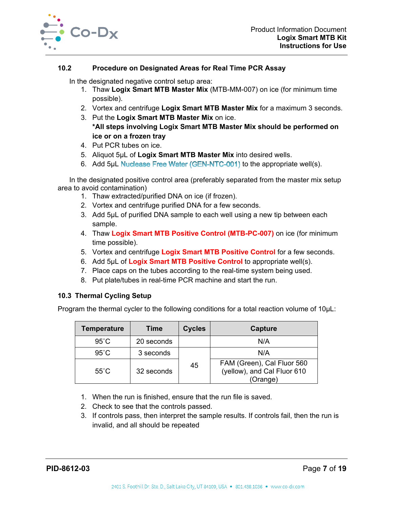

## **10.2 Procedure on Designated Areas for Real Time PCR Assay**

In the designated negative control setup area:

- 1. Thaw **Logix Smart MTB Master Mix** (MTB-MM-007) on ice (for minimum time possible).
- 2. Vortex and centrifuge **Logix Smart MTB Master Mix** for a maximum 3 seconds.
- 3. Put the **Logix Smart MTB Master Mix** on ice. **\*All steps involving Logix Smart MTB Master Mix should be performed on ice or on a frozen tray**
- 4. Put PCR tubes on ice.
- 5. Aliquot 5µL of **Logix Smart MTB Master Mix** into desired wells.
- 6. Add 5µL Nuclease Free Water (GEN-NTC-001) to the appropriate well(s).

In the designated positive control area (preferably separated from the master mix setup area to avoid contamination)

- 1. Thaw extracted/purified DNA on ice (if frozen).
- 2. Vortex and centrifuge purified DNA for a few seconds.
- 3. Add 5µL of purified DNA sample to each well using a new tip between each sample.
- 4. Thaw **Logix Smart MTB Positive Control (MTB-PC-007)** on ice (for minimum time possible).
- 5. Vortex and centrifuge **Logix Smart MTB Positive Control** for a few seconds.
- 6. Add 5µL of **Logix Smart MTB Positive Control** to appropriate well(s).
- 7. Place caps on the tubes according to the real-time system being used.
- 8. Put plate/tubes in real-time PCR machine and start the run.

#### **10.3 Thermal Cycling Setup**

Program the thermal cycler to the following conditions for a total reaction volume of 10μL:

| Temperature    | Time       | <b>Cycles</b> | Capture                                                               |  |
|----------------|------------|---------------|-----------------------------------------------------------------------|--|
| $95^{\circ}$ C | 20 seconds |               | N/A                                                                   |  |
| $95^{\circ}$ C | 3 seconds  |               | N/A                                                                   |  |
| $55^{\circ}$ C | 32 seconds | 45            | FAM (Green), Cal Fluor 560<br>(yellow), and Cal Fluor 610<br>(Orange) |  |

- 1. When the run is finished, ensure that the run file is saved.
- 2. Check to see that the controls passed.
- 3. If controls pass, then interpret the sample results. If controls fail, then the run is invalid, and all should be repeated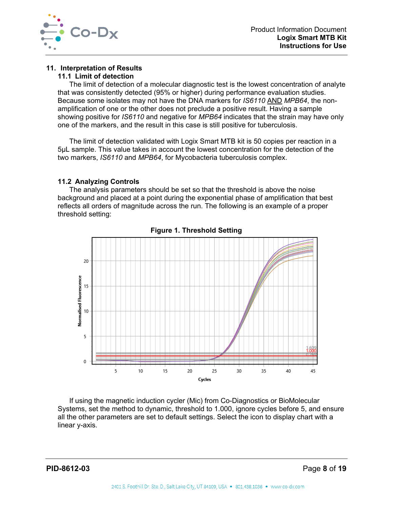

## **11. Interpretation of Results**

#### **11.1 Limit of detection**

The limit of detection of a molecular diagnostic test is the lowest concentration of analyte that was consistently detected (95% or higher) during performance evaluation studies. Because some isolates may not have the DNA markers for *IS6110* AND *MPB64*, the nonamplification of one or the other does not preclude a positive result. Having a sample showing positive for *IS6110* and negative for *MPB64* indicates that the strain may have only one of the markers, and the result in this case is still positive for tuberculosis.

The limit of detection validated with Logix Smart MTB kit is 50 copies per reaction in a 5µL sample. This value takes in account the lowest concentration for the detection of the two markers, *IS6110* and *MPB64*, for Mycobacteria tuberculosis complex.

#### **11.2 Analyzing Controls**

The analysis parameters should be set so that the threshold is above the noise background and placed at a point during the exponential phase of amplification that best reflects all orders of magnitude across the run. The following is an example of a proper threshold setting:



**Figure 1. Threshold Setting**

If using the magnetic induction cycler (Mic) from Co-Diagnostics or BioMolecular Systems, set the method to dynamic, threshold to 1.000, ignore cycles before 5, and ensure all the other parameters are set to default settings. Select the icon to display chart with a linear y-axis.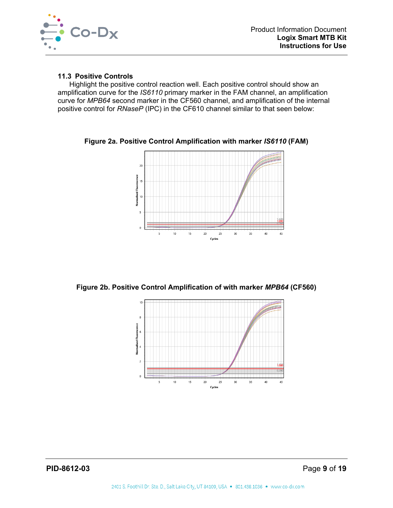

#### **11.3 Positive Controls**

Highlight the positive control reaction well. Each positive control should show an amplification curve for the *IS6110* primary marker in the FAM channel, an amplification curve for *MPB64* second marker in the CF560 channel, and amplification of the internal positive control for *RNaseP* (IPC) in the CF610 channel similar to that seen below:



**Figure 2a. Positive Control Amplification with marker** *IS6110* **(FAM)**

**Figure 2b. Positive Control Amplification of with marker** *MPB64* **(CF560)**

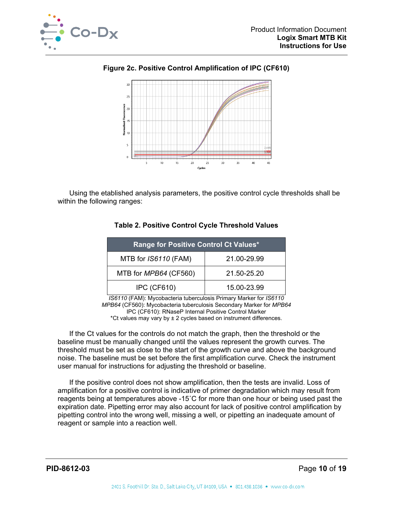





Using the etablished analysis parameters, the positive control cycle thresholds shall be within the following ranges:

| Range for Positive Control Ct Values* |             |  |
|---------------------------------------|-------------|--|
| MTB for IS6110 (FAM)                  | 21.00-29.99 |  |
| MTB for MPB64 (CF560)                 | 21.50-25.20 |  |
| <b>IPC (CF610)</b>                    | 15.00-23.99 |  |

## **Table 2. Positive Control Cycle Threshold Values**

*IS6110* (FAM): Mycobacteria tuberculosis Primary Marker for *IS6110 MPB64* (CF560): Mycobacteria tuberculosis Secondary Marker for *MPB64* IPC (CF610): RNaseP Internal Positive Control Marker \*Ct values may vary by  $\pm 2$  cycles based on instrument differences.

If the Ct values for the controls do not match the graph, then the threshold or the baseline must be manually changed until the values represent the growth curves. The threshold must be set as close to the start of the growth curve and above the background noise. The baseline must be set before the first amplification curve. Check the instrument user manual for instructions for adjusting the threshold or baseline.

If the positive control does not show amplification, then the tests are invalid. Loss of amplification for a positive control is indicative of primer degradation which may result from reagents being at temperatures above -15˚C for more than one hour or being used past the expiration date. Pipetting error may also account for lack of positive control amplification by pipetting control into the wrong well, missing a well, or pipetting an inadequate amount of reagent or sample into a reaction well.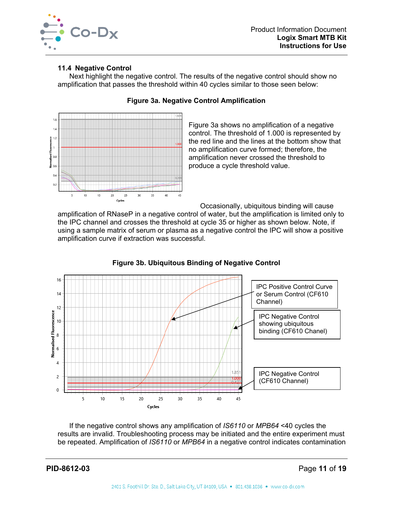

## **11.4 Negative Control**

Next highlight the negative control. The results of the negative control should show no amplification that passes the threshold within 40 cycles similar to those seen below:



## **Figure 3a. Negative Control Amplification**

Figure 3a shows no amplification of a negative control. The threshold of 1.000 is represented by the red line and the lines at the bottom show that no amplification curve formed; therefore, the amplification never crossed the threshold to produce a cycle threshold value.

Occasionally, ubiquitous binding will cause

amplification of RNaseP in a negative control of water, but the amplification is limited only to the IPC channel and crosses the threshold at cycle 35 or higher as shown below. Note, if using a sample matrix of serum or plasma as a negative control the IPC will show a positive amplification curve if extraction was successful.



## **Figure 3b. Ubiquitous Binding of Negative Control**

If the negative control shows any amplification of *IS6110* or *MPB64* <40 cycles the results are invalid. Troubleshooting process may be initiated and the entire experiment must be repeated. Amplification of *IS6110* or *MPB64* in a negative control indicates contamination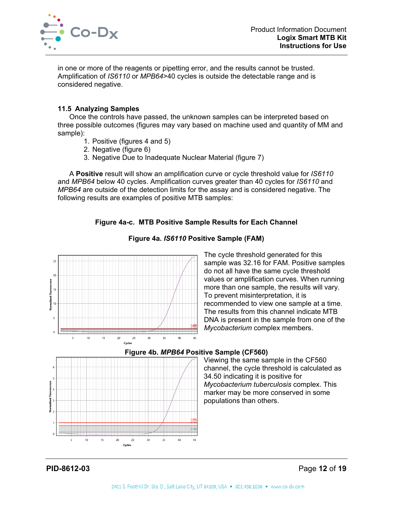

in one or more of the reagents or pipetting error, and the results cannot be trusted. Amplification of *IS6110* or *MPB64*>40 cycles is outside the detectable range and is considered negative.

## **11.5 Analyzing Samples**

Once the controls have passed, the unknown samples can be interpreted based on three possible outcomes (figures may vary based on machine used and quantity of MM and sample):

- 1. Positive (figures 4 and 5)
- 2. Negative (figure 6)
- 3. Negative Due to Inadequate Nuclear Material (figure 7)

A **Positive** result will show an amplification curve or cycle threshold value for *IS6110* and *MPB64* below 40 cycles. Amplification curves greater than 40 cycles for *IS6110* and *MPB64* are outside of the detection limits for the assay and is considered negative. The following results are examples of positive MTB samples:

# **Figure 4a-c. MTB Positive Sample Results for Each Channel**



**Figure 4a.** *IS6110* **Positive Sample (FAM)**

The cycle threshold generated for this sample was 32.16 for FAM. Positive samples do not all have the same cycle threshold values or amplification curves. When running more than one sample, the results will vary. To prevent misinterpretation, it is recommended to view one sample at a time. The results from this channel indicate MTB DNA is present in the sample from one of the *Mycobacterium* complex members.



## **Figure 4b.** *MPB64* **Positive Sample (CF560)**

Viewing the same sample in the CF560 channel, the cycle threshold is calculated as 34.50 indicating it is positive for *Mycobacterium tuberculosis* complex. This marker may be more conserved in some populations than others.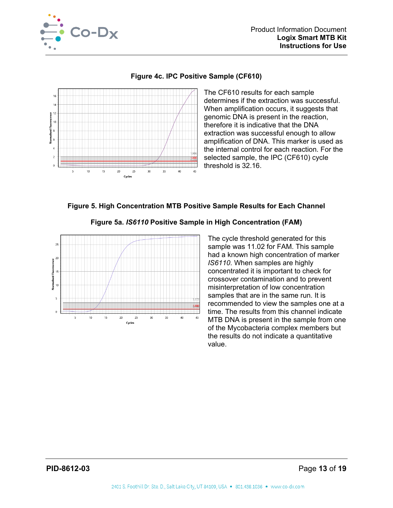



## **Figure 4c. IPC Positive Sample (CF610)**

The CF610 results for each sample determines if the extraction was successful. When amplification occurs, it suggests that genomic DNA is present in the reaction, therefore it is indicative that the DNA extraction was successful enough to allow amplification of DNA. This marker is used as the internal control for each reaction. For the selected sample, the IPC (CF610) cycle threshold is 32.16.

## **Figure 5. High Concentration MTB Positive Sample Results for Each Channel**





The cycle threshold generated for this sample was 11.02 for FAM. This sample had a known high concentration of marker *IS6110*. When samples are highly concentrated it is important to check for crossover contamination and to prevent misinterpretation of low concentration samples that are in the same run. It is recommended to view the samples one at a time. The results from this channel indicate MTB DNA is present in the sample from one of the Mycobacteria complex members but the results do not indicate a quantitative value.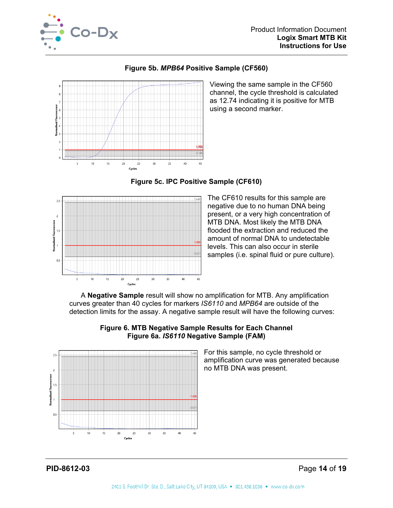



**Figure 5b.** *MPB64* **Positive Sample (CF560)**

Viewing the same sample in the CF560 channel, the cycle threshold is calculated as 12.74 indicating it is positive for MTB using a second marker.



Cycles

**Figure 5c. IPC Positive Sample (CF610)**

The CF610 results for this sample are negative due to no human DNA being present, or a very high concentration of MTB DNA. Most likely the MTB DNA flooded the extraction and reduced the amount of normal DNA to undetectable levels. This can also occur in sterile samples (i.e. spinal fluid or pure culture).

A **Negative Sample** result will show no amplification for MTB. Any amplification curves greater than 40 cycles for markers *IS6110* and *MPB64* are outside of the detection limits for the assay. A negative sample result will have the following curves:



**Figure 6. MTB Negative Sample Results for Each Channel Figure 6a.** *IS6110* **Negative Sample (FAM)**

> For this sample, no cycle threshold or amplification curve was generated because no MTB DNA was present.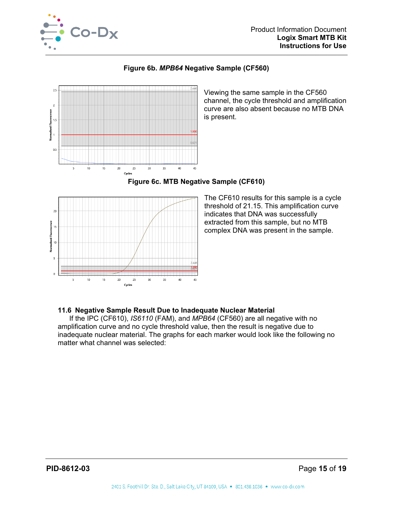

**Figure 6b.** *MPB64* **Negative Sample (CF560)**



Viewing the same sample in the CF560 channel, the cycle threshold and amplification curve are also absent because no MTB DNA is present.



## **Figure 6c. MTB Negative Sample (CF610)**

The CF610 results for this sample is a cycle threshold of 21.15. This amplification curve indicates that DNA was successfully extracted from this sample, but no MTB complex DNA was present in the sample.

#### **11.6 Negative Sample Result Due to Inadequate Nuclear Material**

If the IPC (CF610), *IS6110* (FAM), and *MPB64* (CF560) are all negative with no amplification curve and no cycle threshold value, then the result is negative due to inadequate nuclear material. The graphs for each marker would look like the following no matter what channel was selected: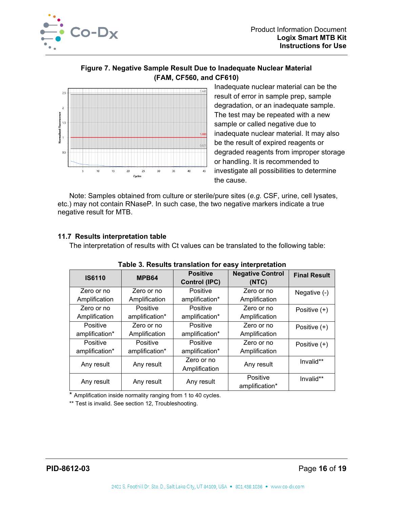

## **Figure 7. Negative Sample Result Due to Inadequate Nuclear Material (FAM, CF560, and CF610)**



Inadequate nuclear material can be the result of error in sample prep, sample degradation, or an inadequate sample. The test may be repeated with a new sample or called negative due to inadequate nuclear material. It may also be the result of expired reagents or degraded reagents from improper storage or handling. It is recommended to investigate all possibilities to determine the cause.

Note: Samples obtained from culture or sterile/pure sites (*e.g.* CSF, urine, cell lysates, etc.) may not contain RNaseP. In such case, the two negative markers indicate a true negative result for MTB.

## **11.7 Results interpretation table**

The interpretation of results with Ct values can be translated to the following table:

| rapic of nogality translation for casy interpretation |                 |                                         |                                  |                     |
|-------------------------------------------------------|-----------------|-----------------------------------------|----------------------------------|---------------------|
| <b>IS6110</b>                                         | MPB64           | <b>Positive</b><br><b>Control (IPC)</b> | <b>Negative Control</b><br>(NTC) | <b>Final Result</b> |
| Zero or no                                            | Zero or no      | Positive                                | Zero or no                       | Negative (-)        |
| Amplification                                         | Amplification   | amplification*                          | Amplification                    |                     |
| Zero or no                                            | <b>Positive</b> | Positive                                | Zero or no                       | Positive (+)        |
| Amplification                                         | amplification*  | amplification*                          | Amplification                    |                     |
| Positive                                              | Zero or no      | Positive                                | Zero or no                       | Positive (+)        |
| amplification*                                        | Amplification   | amplification*                          | Amplification                    |                     |
| Positive                                              | Positive        | Positive                                | Zero or no                       | Positive $(+)$      |
| amplification*                                        | amplification*  | amplification*                          | Amplification                    |                     |
| Any result                                            |                 | Zero or no                              | Any result                       | Invalid**           |
|                                                       | Any result      | Amplification                           |                                  |                     |
| Any result                                            |                 |                                         | Positive                         | Invalid**           |
|                                                       | Any result      | Any result                              | amplification*                   |                     |

\* Amplification inside normality ranging from 1 to 40 cycles.

\*\* Test is invalid. See section 12, Troubleshooting.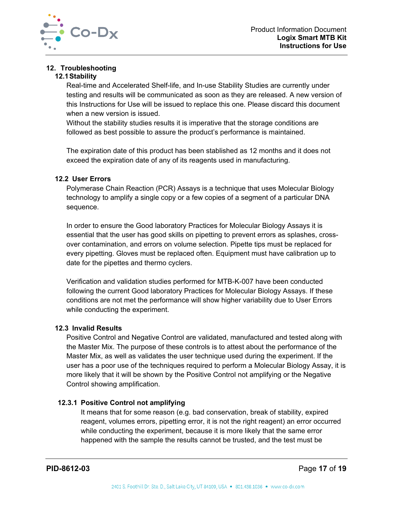

# **12. Troubleshooting**

## **12.1Stability**

Real-time and Accelerated Shelf-life, and In-use Stability Studies are currently under testing and results will be communicated as soon as they are released. A new version of this Instructions for Use will be issued to replace this one. Please discard this document when a new version is issued.

Without the stability studies results it is imperative that the storage conditions are followed as best possible to assure the product's performance is maintained.

The expiration date of this product has been stablished as 12 months and it does not exceed the expiration date of any of its reagents used in manufacturing.

## **12.2 User Errors**

Polymerase Chain Reaction (PCR) Assays is a technique that uses Molecular Biology technology to amplify a single copy or a few copies of a segment of a particular DNA sequence.

In order to ensure the Good laboratory Practices for Molecular Biology Assays it is essential that the user has good skills on pipetting to prevent errors as splashes, crossover contamination, and errors on volume selection. Pipette tips must be replaced for every pipetting. Gloves must be replaced often. Equipment must have calibration up to date for the pipettes and thermo cyclers.

Verification and validation studies performed for MTB-K-007 have been conducted following the current Good laboratory Practices for Molecular Biology Assays. If these conditions are not met the performance will show higher variability due to User Errors while conducting the experiment.

## **12.3 Invalid Results**

Positive Control and Negative Control are validated, manufactured and tested along with the Master Mix. The purpose of these controls is to attest about the performance of the Master Mix, as well as validates the user technique used during the experiment. If the user has a poor use of the techniques required to perform a Molecular Biology Assay, it is more likely that it will be shown by the Positive Control not amplifying or the Negative Control showing amplification.

## **12.3.1 Positive Control not amplifying**

It means that for some reason (e.g. bad conservation, break of stability, expired reagent, volumes errors, pipetting error, it is not the right reagent) an error occurred while conducting the experiment, because it is more likely that the same error happened with the sample the results cannot be trusted, and the test must be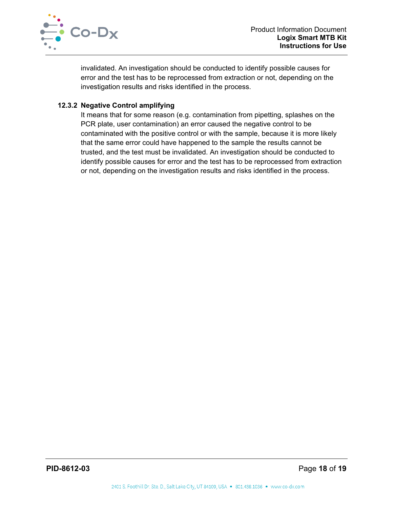

invalidated. An investigation should be conducted to identify possible causes for error and the test has to be reprocessed from extraction or not, depending on the investigation results and risks identified in the process.

## **12.3.2 Negative Control amplifying**

It means that for some reason (e.g. contamination from pipetting, splashes on the PCR plate, user contamination) an error caused the negative control to be contaminated with the positive control or with the sample, because it is more likely that the same error could have happened to the sample the results cannot be trusted, and the test must be invalidated. An investigation should be conducted to identify possible causes for error and the test has to be reprocessed from extraction or not, depending on the investigation results and risks identified in the process.